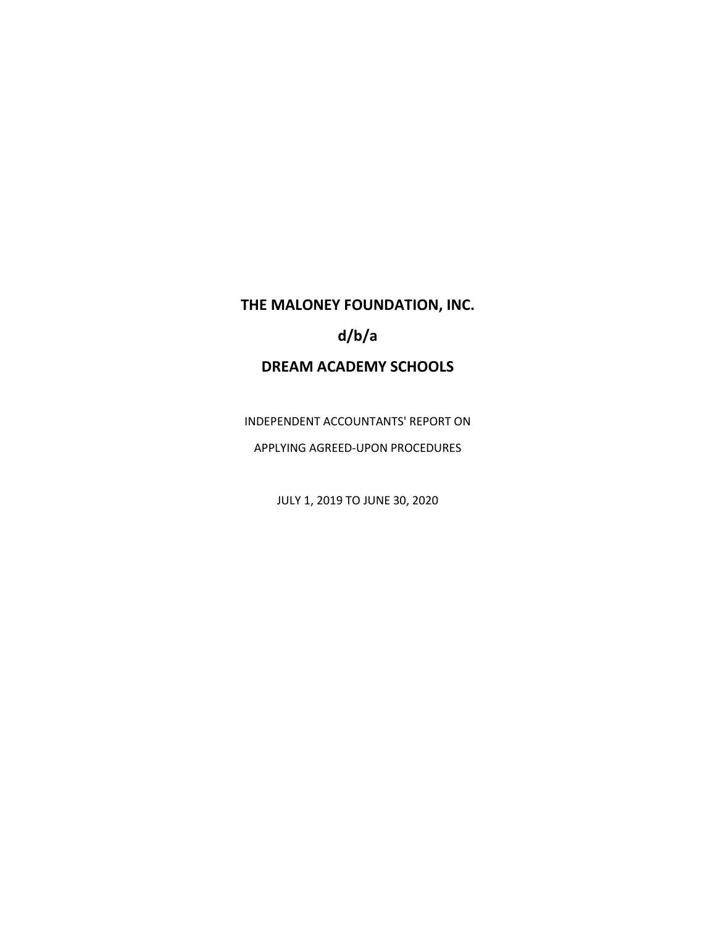# **THE MALONEY FOUNDATION, INC.**

**d/b/a**

# **DREAM ACADEMY SCHOOLS**

INDEPENDENT ACCOUNTANTS' REPORT ON

APPLYING AGREED-UPON PROCEDURES

JULY 1, 2019 TO JUNE 30, 2020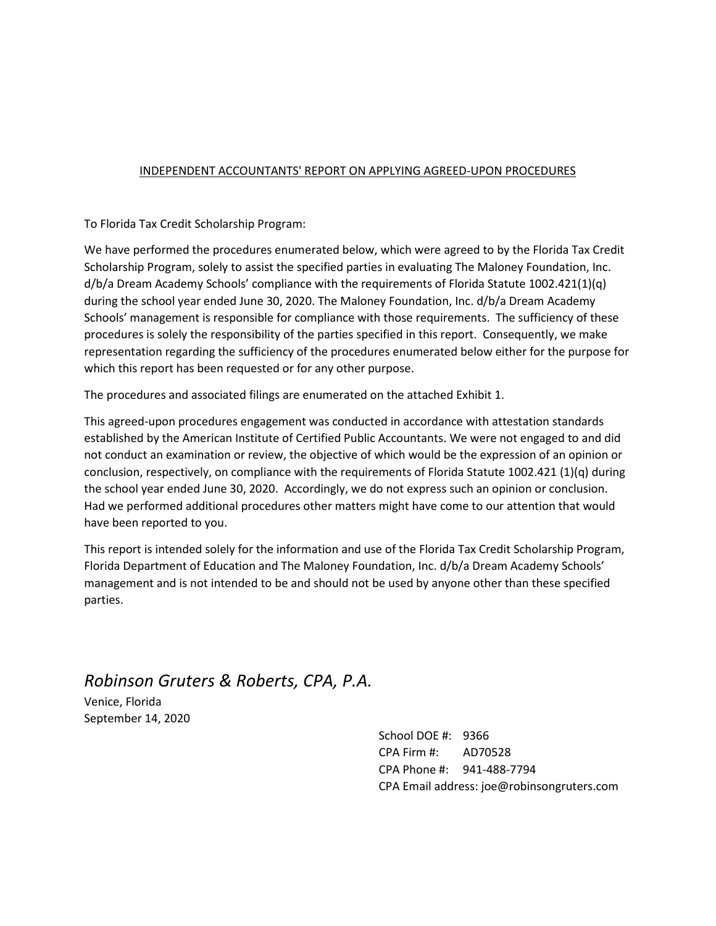### INDEPENDENT ACCOUNTANTS' REPORT ON APPLYING AGREED-UPON PROCEDURES

To Florida Tax Credit Scholarship Program:

We have performed the procedures enumerated below, which were agreed to by the Florida Tax Credit Scholarship Program, solely to assist the specified parties in evaluating The Maloney Foundation, Inc. d/b/a Dream Academy Schools' compliance with the requirements of Florida Statute 1002.421(1)(q) during the school year ended June 30, 2020. The Maloney Foundation, Inc. d/b/a Dream Academy Schools' management is responsible for compliance with those requirements. The sufficiency of these procedures is solely the responsibility of the parties specified in this report. Consequently, we make representation regarding the sufficiency of the procedures enumerated below either for the purpose for which this report has been requested or for any other purpose.

The procedures and associated filings are enumerated on the attached Exhibit 1.

This agreed-upon procedures engagement was conducted in accordance with attestation standards established by the American Institute of Certified Public Accountants. We were not engaged to and did not conduct an examination or review, the objective of which would be the expression of an opinion or conclusion, respectively, on compliance with the requirements of Florida Statute 1002.421 (1)(q) during the school year ended June 30, 2020. Accordingly, we do not express such an opinion or conclusion. Had we performed additional procedures other matters might have come to our attention that would have been reported to you.

This report is intended solely for the information and use of the Florida Tax Credit Scholarship Program, Florida Department of Education and The Maloney Foundation, Inc. d/b/a Dream Academy Schools' management and is not intended to be and should not be used by anyone other than these specified parties.

*Robinson Gruters & Roberts, CPA, P.A.*

Venice, Florida September 14, 2020

> School DOE #: 9366 CPA Firm #: AD70528 CPA Phone #: 941-488-7794 CPA Email address: joe@robinsongruters.com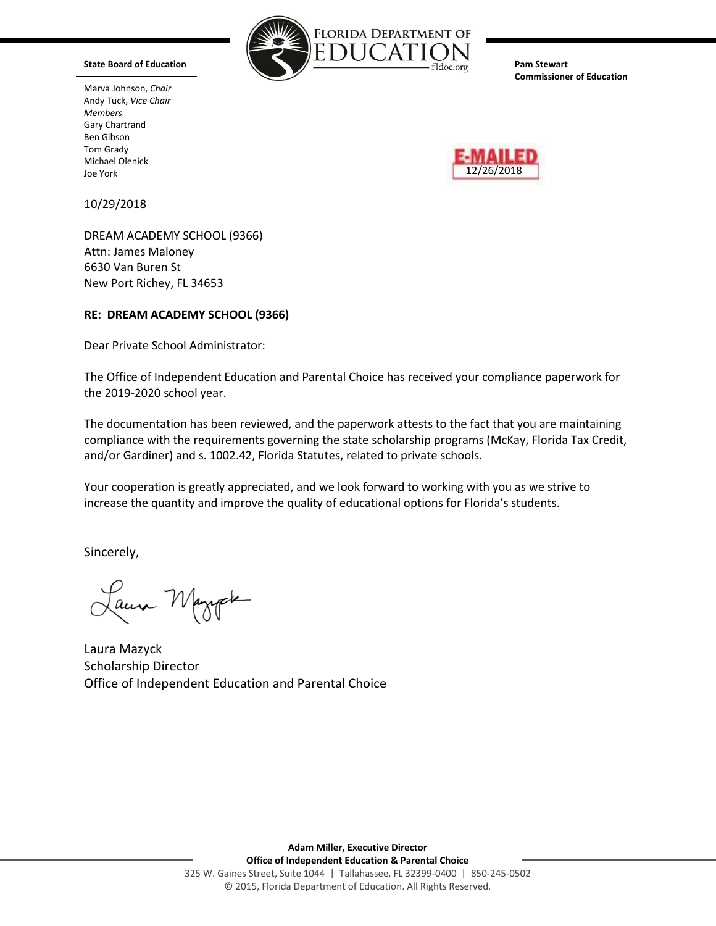

Marva Johnson, *Chair* Andy Tuck, *Vice Chair Members* Gary Chartrand Ben Gibson Tom Grady Michael Olenick Joe York

10/29/2018

DREAM ACADEMY SCHOOL (9366) Attn: James Maloney 6630 Van Buren St New Port Richey, FL 34653

### **RE: DREAM ACADEMY SCHOOL (9366)**

Dear Private School Administrator:

The Office of Independent Education and Parental Choice has received your compliance paperwork for the 2019-2020 school year.

The documentation has been reviewed, and the paperwork attests to the fact that you are maintaining compliance with the requirements governing the state scholarship programs (McKay, Florida Tax Credit, and/or Gardiner) and s. 1002.42, Florida Statutes, related to private schools.

Your cooperation is greatly appreciated, and we look forward to working with you as we strive to increase the quantity and improve the quality of educational options for Florida's students.

Sincerely,

Laura Mazyota

Laura Mazyck Scholarship Director Office of Independent Education and Parental Choice



**Pam Stewart Commissioner of Education**

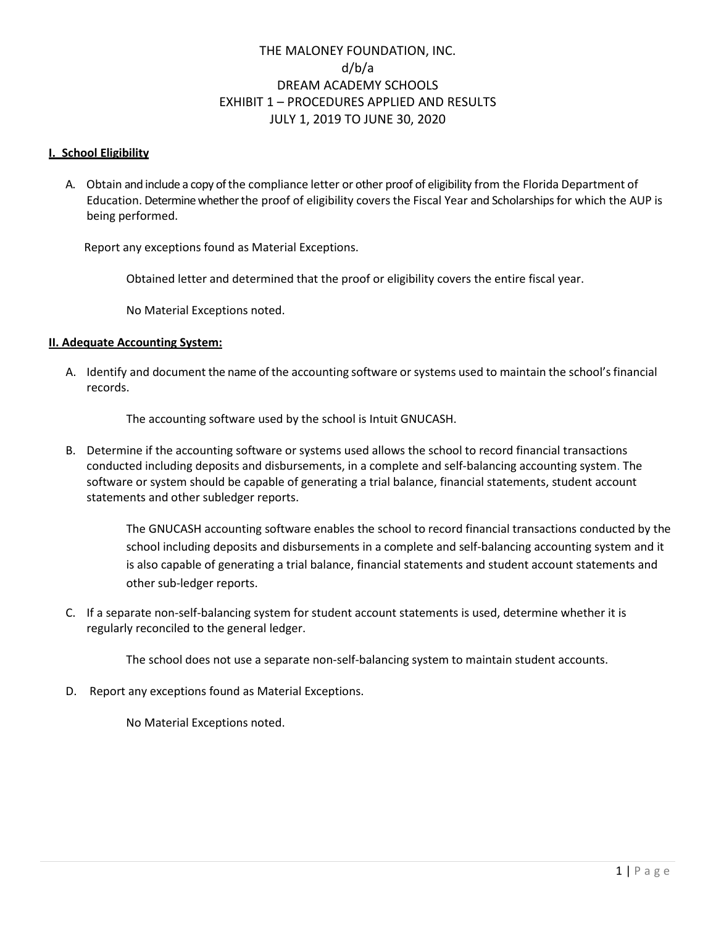### **I. School Eligibility**

A. Obtain and include a copy ofthe compliance letter or other proof of eligibility from the Florida Department of Education. Determine whether the proof of eligibility covers the Fiscal Year and Scholarships for which the AUP is being performed.

Report any exceptions found as Material Exceptions.

Obtained letter and determined that the proof or eligibility covers the entire fiscal year.

No Material Exceptions noted.

### **II. Adequate Accounting System:**

A. Identify and document the name of the accounting software or systems used to maintain the school's financial records.

The accounting software used by the school is Intuit GNUCASH.

B. Determine if the accounting software or systems used allows the school to record financial transactions conducted including deposits and disbursements, in a complete and self-balancing accounting system. The software or system should be capable of generating a trial balance, financial statements, student account statements and other subledger reports.

> The GNUCASH accounting software enables the school to record financial transactions conducted by the school including deposits and disbursements in a complete and self-balancing accounting system and it is also capable of generating a trial balance, financial statements and student account statements and other sub-ledger reports.

C. If a separate non-self-balancing system for student account statements is used, determine whether it is regularly reconciled to the general ledger.

The school does not use a separate non-self-balancing system to maintain student accounts.

D. Report any exceptions found as Material Exceptions.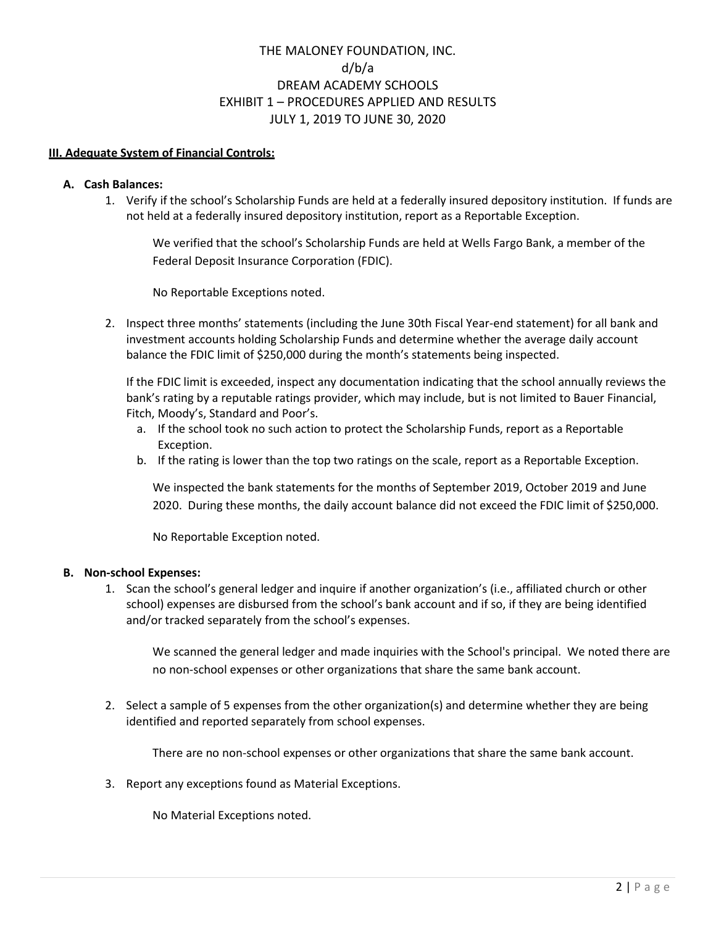### **III. Adequate System of Financial Controls:**

#### **A. Cash Balances:**

1. Verify if the school's Scholarship Funds are held at a federally insured depository institution. If funds are not held at a federally insured depository institution, report as a Reportable Exception.

We verified that the school's Scholarship Funds are held at Wells Fargo Bank, a member of the Federal Deposit Insurance Corporation (FDIC).

No Reportable Exceptions noted.

2. Inspect three months' statements (including the June 30th Fiscal Year-end statement) for all bank and investment accounts holding Scholarship Funds and determine whether the average daily account balance the FDIC limit of \$250,000 during the month's statements being inspected.

If the FDIC limit is exceeded, inspect any documentation indicating that the school annually reviews the bank's rating by a reputable ratings provider, which may include, but is not limited to Bauer Financial, Fitch, Moody's, Standard and Poor's.

- a. If the school took no such action to protect the Scholarship Funds, report as a Reportable Exception.
- b. If the rating is lower than the top two ratings on the scale, report as a Reportable Exception.

We inspected the bank statements for the months of September 2019, October 2019 and June 2020. During these months, the daily account balance did not exceed the FDIC limit of \$250,000.

No Reportable Exception noted.

### **B. Non-school Expenses:**

1. Scan the school's general ledger and inquire if another organization's (i.e., affiliated church or other school) expenses are disbursed from the school's bank account and if so, if they are being identified and/or tracked separately from the school's expenses.

We scanned the general ledger and made inquiries with the School's principal. We noted there are no non-school expenses or other organizations that share the same bank account.

2. Select a sample of 5 expenses from the other organization(s) and determine whether they are being identified and reported separately from school expenses.

There are no non-school expenses or other organizations that share the same bank account.

3. Report any exceptions found as Material Exceptions.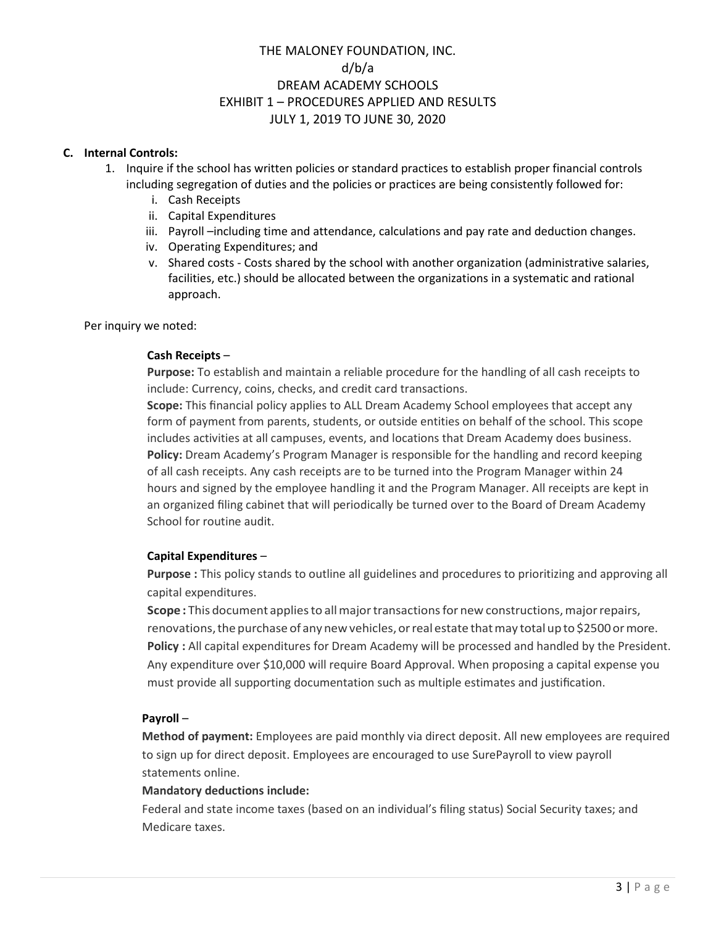### **C. Internal Controls:**

- 1. Inquire if the school has written policies or standard practices to establish proper financial controls including segregation of duties and the policies or practices are being consistently followed for:
	- i. Cash Receipts
	- ii. Capital Expenditures
	- iii. Payroll –including time and attendance, calculations and pay rate and deduction changes.
	- iv. Operating Expenditures; and
	- v. Shared costs Costs shared by the school with another organization (administrative salaries, facilities, etc.) should be allocated between the organizations in a systematic and rational approach.

Per inquiry we noted:

### **Cash Receipts** –

**Purpose:** To establish and maintain a reliable procedure for the handling of all cash receipts to include: Currency, coins, checks, and credit card transactions.

**Scope:** This financial policy applies to ALL Dream Academy School employees that accept any form of payment from parents, students, or outside entities on behalf of the school. This scope includes activities at all campuses, events, and locations that Dream Academy does business. **Policy:** Dream Academy's Program Manager is responsible for the handling and record keeping of all cash receipts. Any cash receipts are to be turned into the Program Manager within 24 hours and signed by the employee handling it and the Program Manager. All receipts are kept in an organized filing cabinet that will periodically be turned over to the Board of Dream Academy School for routine audit.

# **Capital Expenditures** –

**Purpose :** This policy stands to outline all guidelines and procedures to prioritizing and approving all capital expenditures.

**Scope :** This document appliesto allmajortransactionsfor new constructions,majorrepairs, renovations, the purchase of any new vehicles, or real estate that may total up to \$2500 or more. **Policy :** All capital expenditures for Dream Academy will be processed and handled by the President. Any expenditure over \$10,000 will require Board Approval. When proposing a capital expense you must provide all supporting documentation such as multiple estimates and justification.

### **Payroll** –

**Method of payment:** Employees are paid monthly via direct deposit. All new employees are required to sign up for direct deposit. Employees are encouraged to use SurePayroll to view payroll statements online.

### **Mandatory deductions include:**

Federal and state income taxes (based on an individual's filing status) Social Security taxes; and Medicare taxes.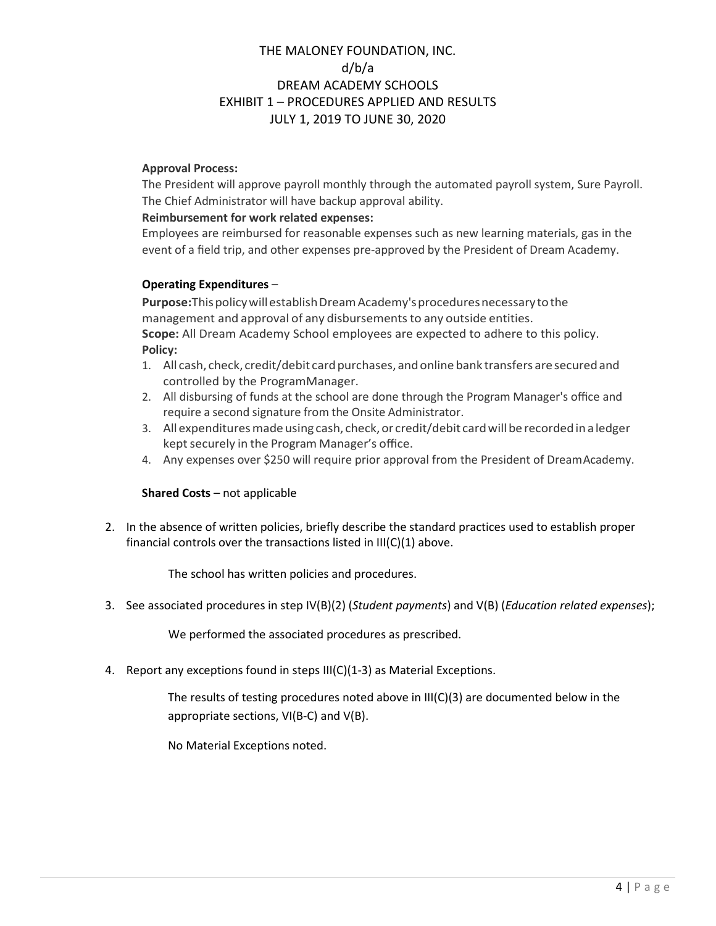### **Approval Process:**

The President will approve payroll monthly through the automated payroll system, Sure Payroll. The Chief Administrator will have backup approval ability.

### **Reimbursement for work related expenses:**

Employees are reimbursed for reasonable expenses such as new learning materials, gas in the event of a field trip, and other expenses pre-approved by the President of Dream Academy.

# **Operating Expenditures** –

**Purpose:**ThispolicywillestablishDreamAcademy'sproceduresnecessarytothe management and approval of any disbursements to any outside entities.

**Scope:** All Dream Academy School employees are expected to adhere to this policy. **Policy:**

- 1. All cash, check, credit/debit card purchases, and online bank transfers are secured and controlled by the ProgramManager.
- 2. All disbursing of funds at the school are done through the Program Manager's office and require a second signature from the Onsite Administrator.
- 3. All expenditures made using cash, check, or credit/debit card will be recorded in a ledger kept securely in the Program Manager's office.
- 4. Any expenses over \$250 will require prior approval from the President of DreamAcademy.

### **Shared Costs** – not applicable

2. In the absence of written policies, briefly describe the standard practices used to establish proper financial controls over the transactions listed in  $III(C)(1)$  above.

The school has written policies and procedures.

3. See associated procedures in step IV(B)(2) (*Student payments*) and V(B) (*Education related expenses*);

We performed the associated procedures as prescribed.

4. Report any exceptions found in steps III(C)(1-3) as Material Exceptions.

The results of testing procedures noted above in III(C)(3) are documented below in the appropriate sections, VI(B-C) and V(B).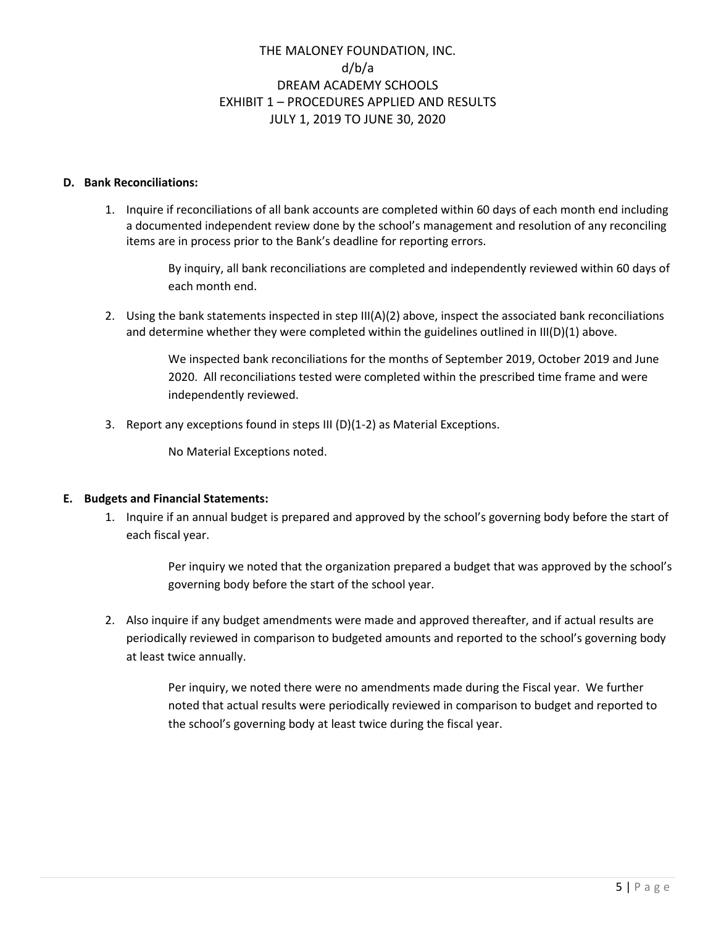### **D. Bank Reconciliations:**

1. Inquire if reconciliations of all bank accounts are completed within 60 days of each month end including a documented independent review done by the school's management and resolution of any reconciling items are in process prior to the Bank's deadline for reporting errors.

> By inquiry, all bank reconciliations are completed and independently reviewed within 60 days of each month end.

2. Using the bank statements inspected in step III(A)(2) above, inspect the associated bank reconciliations and determine whether they were completed within the guidelines outlined in III(D)(1) above.

> We inspected bank reconciliations for the months of September 2019, October 2019 and June 2020. All reconciliations tested were completed within the prescribed time frame and were independently reviewed.

3. Report any exceptions found in steps III (D)(1-2) as Material Exceptions.

No Material Exceptions noted.

### **E. Budgets and Financial Statements:**

1. Inquire if an annual budget is prepared and approved by the school's governing body before the start of each fiscal year.

> Per inquiry we noted that the organization prepared a budget that was approved by the school's governing body before the start of the school year.

2. Also inquire if any budget amendments were made and approved thereafter, and if actual results are periodically reviewed in comparison to budgeted amounts and reported to the school's governing body at least twice annually.

> Per inquiry, we noted there were no amendments made during the Fiscal year. We further noted that actual results were periodically reviewed in comparison to budget and reported to the school's governing body at least twice during the fiscal year.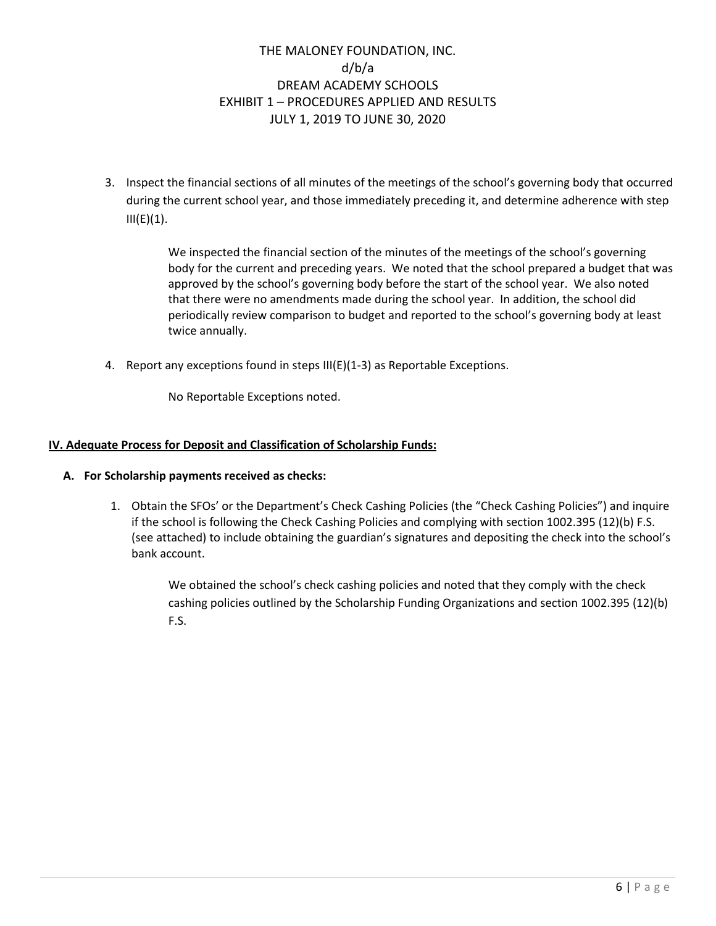3. Inspect the financial sections of all minutes of the meetings of the school's governing body that occurred during the current school year, and those immediately preceding it, and determine adherence with step  $III(E)(1)$ .

> We inspected the financial section of the minutes of the meetings of the school's governing body for the current and preceding years. We noted that the school prepared a budget that was approved by the school's governing body before the start of the school year. We also noted that there were no amendments made during the school year. In addition, the school did periodically review comparison to budget and reported to the school's governing body at least twice annually.

4. Report any exceptions found in steps III(E)(1-3) as Reportable Exceptions.

No Reportable Exceptions noted.

### **IV. Adequate Process for Deposit and Classification of Scholarship Funds:**

### **A. For Scholarship payments received as checks:**

1. Obtain the SFOs' or the Department's Check Cashing Policies (the "Check Cashing Policies") and inquire if the school is following the Check Cashing Policies and complying with section 1002.395 (12)(b) F.S. (see attached) to include obtaining the guardian's signatures and depositing the check into the school's bank account.

> We obtained the school's check cashing policies and noted that they comply with the check cashing policies outlined by the Scholarship Funding Organizations and section 1002.395 (12)(b) F.S.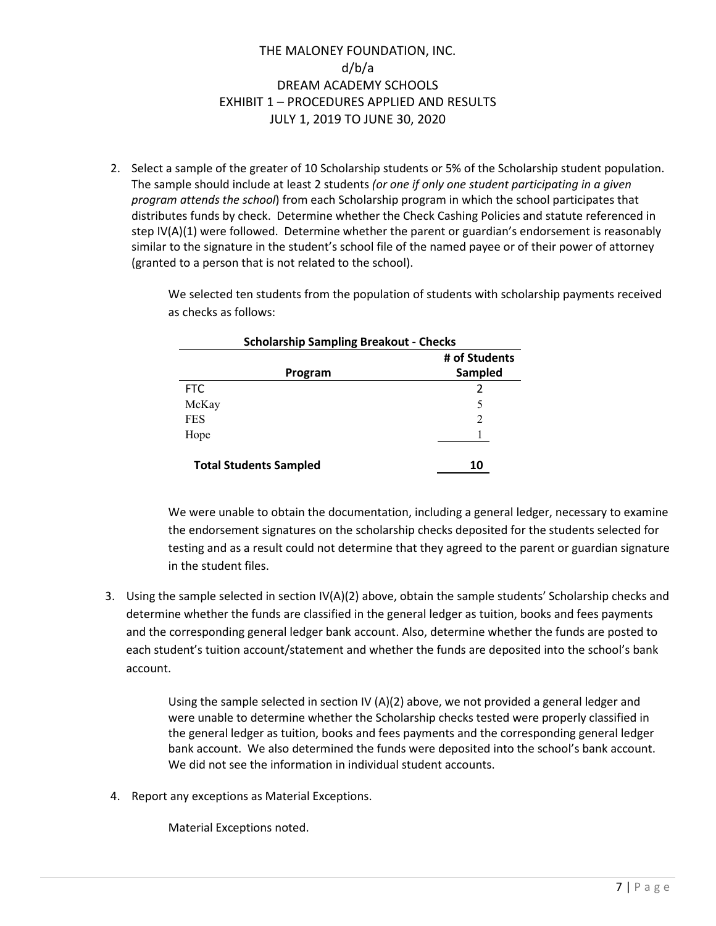2. Select a sample of the greater of 10 Scholarship students or 5% of the Scholarship student population. The sample should include at least 2 students *(or one if only one student participating in a given program attends the school*) from each Scholarship program in which the school participates that distributes funds by check. Determine whether the Check Cashing Policies and statute referenced in step IV(A)(1) were followed. Determine whether the parent or guardian's endorsement is reasonably similar to the signature in the student's school file of the named payee or of their power of attorney (granted to a person that is not related to the school).

> We selected ten students from the population of students with scholarship payments received as checks as follows:

| <b>Scholarship Sampling Breakout - Checks</b> |                          |  |
|-----------------------------------------------|--------------------------|--|
| Program                                       | # of Students<br>Sampled |  |
| <b>FTC</b>                                    |                          |  |
| McKay                                         | 5                        |  |
| <b>FES</b>                                    | 2                        |  |
| Hope                                          |                          |  |
| <b>Total Students Sampled</b>                 | 10                       |  |

We were unable to obtain the documentation, including a general ledger, necessary to examine the endorsement signatures on the scholarship checks deposited for the students selected for testing and as a result could not determine that they agreed to the parent or guardian signature in the student files.

3. Using the sample selected in section IV(A)(2) above, obtain the sample students' Scholarship checks and determine whether the funds are classified in the general ledger as tuition, books and fees payments and the corresponding general ledger bank account. Also, determine whether the funds are posted to each student's tuition account/statement and whether the funds are deposited into the school's bank account.

> Using the sample selected in section IV (A)(2) above, we not provided a general ledger and were unable to determine whether the Scholarship checks tested were properly classified in the general ledger as tuition, books and fees payments and the corresponding general ledger bank account. We also determined the funds were deposited into the school's bank account. We did not see the information in individual student accounts.

4. Report any exceptions as Material Exceptions.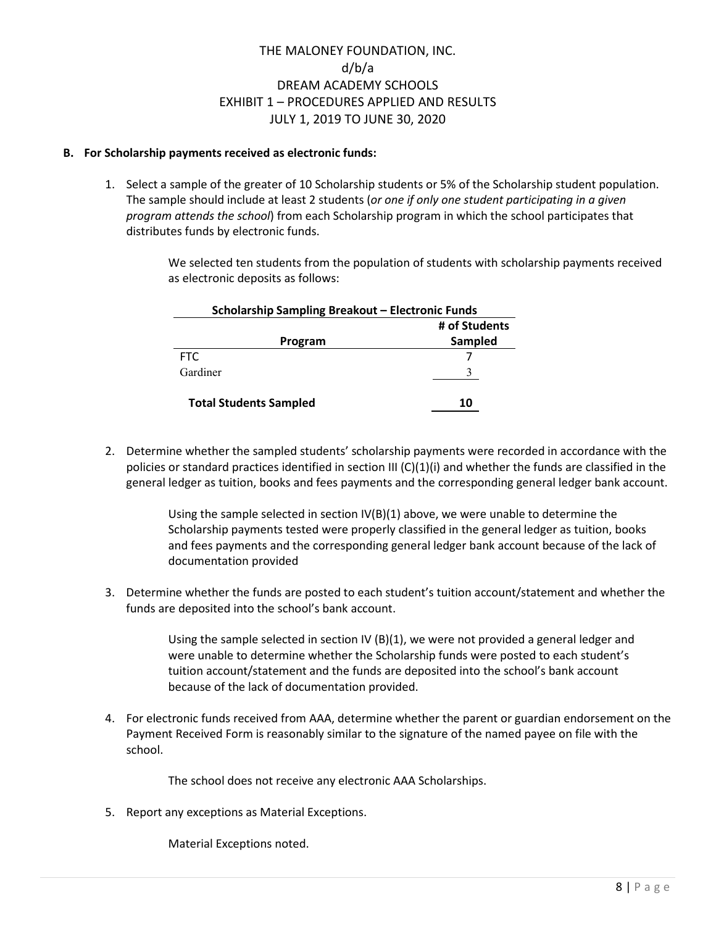### **B. For Scholarship payments received as electronic funds:**

1. Select a sample of the greater of 10 Scholarship students or 5% of the Scholarship student population. The sample should include at least 2 students (*or one if only one student participating in a given program attends the school*) from each Scholarship program in which the school participates that distributes funds by electronic funds.

> We selected ten students from the population of students with scholarship payments received as electronic deposits as follows:

| Scholarship Sampling Breakout - Electronic Funds |               |  |
|--------------------------------------------------|---------------|--|
|                                                  | # of Students |  |
| Program                                          | Sampled       |  |
| FTC.                                             |               |  |
| Gardiner                                         |               |  |
| <b>Total Students Sampled</b>                    |               |  |

2. Determine whether the sampled students' scholarship payments were recorded in accordance with the policies or standard practices identified in section III (C)(1)(i) and whether the funds are classified in the general ledger as tuition, books and fees payments and the corresponding general ledger bank account.

> Using the sample selected in section  $IV(B)(1)$  above, we were unable to determine the Scholarship payments tested were properly classified in the general ledger as tuition, books and fees payments and the corresponding general ledger bank account because of the lack of documentation provided

3. Determine whether the funds are posted to each student's tuition account/statement and whether the funds are deposited into the school's bank account.

> Using the sample selected in section IV (B)(1), we were not provided a general ledger and were unable to determine whether the Scholarship funds were posted to each student's tuition account/statement and the funds are deposited into the school's bank account because of the lack of documentation provided.

4. For electronic funds received from AAA, determine whether the parent or guardian endorsement on the Payment Received Form is reasonably similar to the signature of the named payee on file with the school.

The school does not receive any electronic AAA Scholarships.

5. Report any exceptions as Material Exceptions.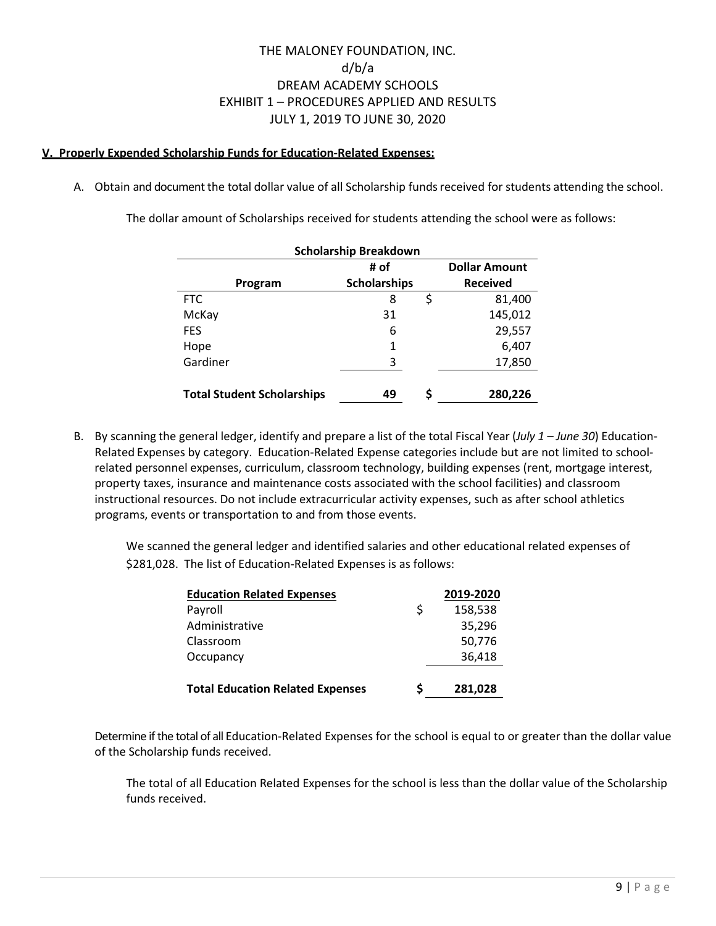## **V. Properly Expended Scholarship Funds for Education-Related Expenses:**

A. Obtain and document the total dollar value of all Scholarship funds received for students attending the school.

The dollar amount of Scholarships received for students attending the school were as follows:

| <b>Scholarship Breakdown</b>      |                     |                      |  |  |  |
|-----------------------------------|---------------------|----------------------|--|--|--|
|                                   | # of                | <b>Dollar Amount</b> |  |  |  |
| Program                           | <b>Scholarships</b> | <b>Received</b>      |  |  |  |
| FTC                               | \$<br>8             | 81,400               |  |  |  |
| McKay                             | 31                  | 145,012              |  |  |  |
| <b>FES</b>                        | 6                   | 29,557               |  |  |  |
| Hope                              | 1                   | 6,407                |  |  |  |
| Gardiner                          | 3                   | 17,850               |  |  |  |
|                                   |                     |                      |  |  |  |
| <b>Total Student Scholarships</b> | \$<br>49            | 280,226              |  |  |  |

B. By scanning the general ledger, identify and prepare a list of the total Fiscal Year (*July 1 – June 30*) Education-Related Expenses by category. Education-Related Expense categories include but are not limited to schoolrelated personnel expenses, curriculum, classroom technology, building expenses (rent, mortgage interest, property taxes, insurance and maintenance costs associated with the school facilities) and classroom instructional resources. Do not include extracurricular activity expenses, such as after school athletics programs, events or transportation to and from those events.

We scanned the general ledger and identified salaries and other educational related expenses of \$281,028. The list of Education-Related Expenses is as follows:

| <b>Education Related Expenses</b>       |   | 2019-2020 |
|-----------------------------------------|---|-----------|
| Payroll                                 | S | 158,538   |
| Administrative                          |   | 35,296    |
| Classroom                               |   | 50,776    |
| Occupancy                               |   | 36,418    |
| <b>Total Education Related Expenses</b> | S | 281,028   |
|                                         |   |           |

Determine if the total of all Education-Related Expenses for the school is equal to or greater than the dollar value of the Scholarship funds received.

The total of all Education Related Expenses for the school is less than the dollar value of the Scholarship funds received.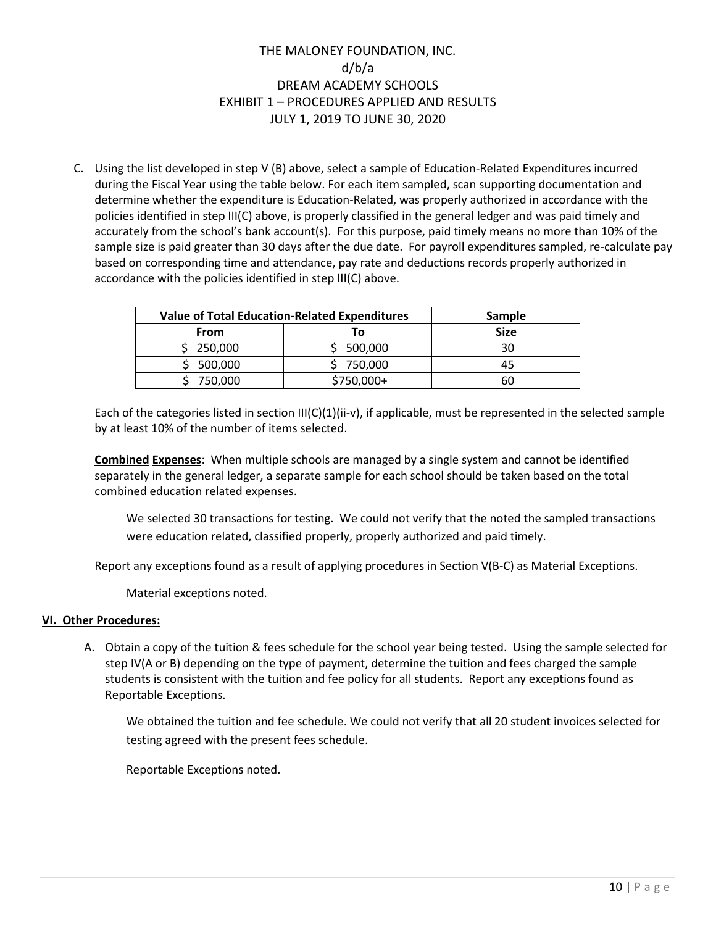C. Using the list developed in step V (B) above, select a sample of Education-Related Expenditures incurred during the Fiscal Year using the table below. For each item sampled, scan supporting documentation and determine whether the expenditure is Education-Related, was properly authorized in accordance with the policies identified in step III(C) above, is properly classified in the general ledger and was paid timely and accurately from the school's bank account(s). For this purpose, paid timely means no more than 10% of the sample size is paid greater than 30 days after the due date. For payroll expenditures sampled, re-calculate pay based on corresponding time and attendance, pay rate and deductions records properly authorized in accordance with the policies identified in step III(C) above.

| <b>Value of Total Education-Related Expenditures</b> |            | Sample      |
|------------------------------------------------------|------------|-------------|
| From                                                 | Т٥         | <b>Size</b> |
| \$250,000                                            | 500,000    | 30          |
| \$500,000                                            | \$750,000  | 45          |
| 750,000                                              | \$750,000+ | 60          |

Each of the categories listed in section III(C)(1)(ii-v), if applicable, must be represented in the selected sample by at least 10% of the number of items selected.

**Combined Expenses**: When multiple schools are managed by a single system and cannot be identified separately in the general ledger, a separate sample for each school should be taken based on the total combined education related expenses.

We selected 30 transactions for testing. We could not verify that the noted the sampled transactions were education related, classified properly, properly authorized and paid timely.

Report any exceptions found as a result of applying procedures in Section V(B-C) as Material Exceptions.

Material exceptions noted.

### **VI. Other Procedures:**

A. Obtain a copy of the tuition & fees schedule for the school year being tested. Using the sample selected for step IV(A or B) depending on the type of payment, determine the tuition and fees charged the sample students is consistent with the tuition and fee policy for all students. Report any exceptions found as Reportable Exceptions.

We obtained the tuition and fee schedule. We could not verify that all 20 student invoices selected for testing agreed with the present fees schedule.

Reportable Exceptions noted.